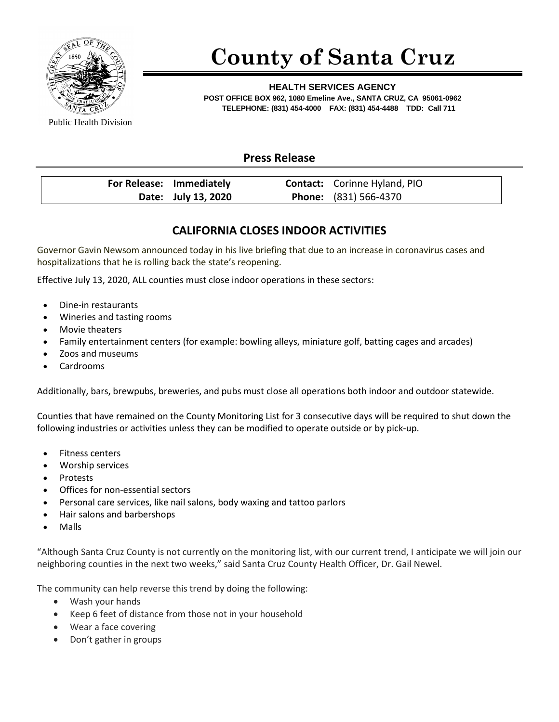

## **County of Santa Cruz**

**HEALTH SERVICES AGENCY POST OFFICE BOX 962, 1080 Emeline Ave., SANTA CRUZ, CA 95061-0962 TELEPHONE: (831) 454-4000 FAX: (831) 454-4488 TDD: Call 711**

Public Health Division

## **Press Release**

| For Release: Immediately | <b>Contact:</b> Corinne Hyland, PIO |  |
|--------------------------|-------------------------------------|--|
| Date: July 13, 2020      | <b>Phone:</b> (831) 566-4370        |  |

## **CALIFORNIA CLOSES INDOOR ACTIVITIES**

Governor Gavin Newsom announced today in his live briefing that due to an increase in coronavirus cases and hospitalizations that he is rolling back the state's reopening.

Effective July 13, 2020, ALL counties must close indoor operations in these sectors:

- Dine-in restaurants
- Wineries and tasting rooms
- Movie theaters
- Family entertainment centers (for example: bowling alleys, miniature golf, batting cages and arcades)
- Zoos and museums
- Cardrooms

Additionally, bars, brewpubs, breweries, and pubs must close all operations both indoor and outdoor statewide.

Counties that have remained on the County Monitoring List for 3 consecutive days will be required to shut down the following industries or activities unless they can be modified to operate outside or by pick-up.

- Fitness centers
- Worship services
- Protests
- Offices for non-essential sectors
- Personal care services, like nail salons, body waxing and tattoo parlors
- Hair salons and barbershops
- Malls

"Although Santa Cruz County is not currently on the monitoring list, with our current trend, I anticipate we will join our neighboring counties in the next two weeks," said Santa Cruz County Health Officer, Dr. Gail Newel.

The community can help reverse this trend by doing the following:

- Wash your hands
- Keep 6 feet of distance from those not in your household
- Wear a face covering
- Don't gather in groups